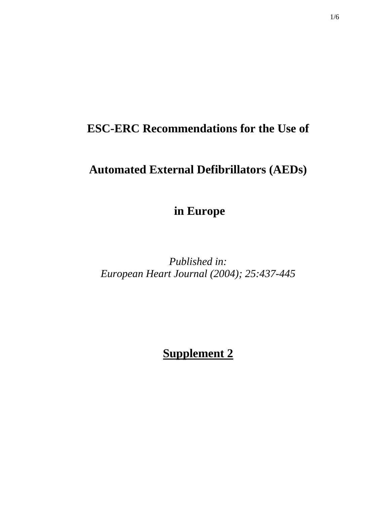## **ESC-ERC Recommendations for the Use of**

## **Automated External Defibrillators (AEDs)**

 **in Europe** 

*Published in: European Heart Journal (2004); 25:437-445* 

**Supplement 2**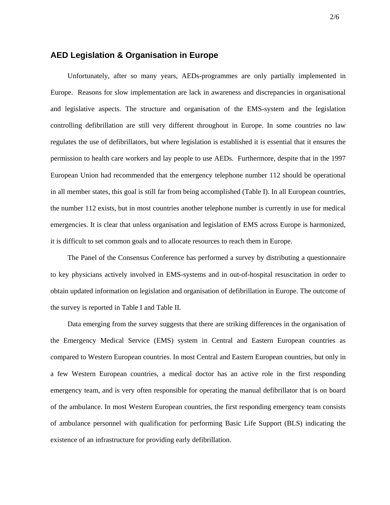## **AED Legislation & Organisation in Europe**

Unfortunately, after so many years, AEDs-programmes are only partially implemented in Europe. Reasons for slow implementation are lack in awareness and discrepancies in organisational and legislative aspects. The structure and organisation of the EMS-system and the legislation controlling defibrillation are still very different throughout in Europe. In some countries no law regulates the use of defibrillators, but where legislation is established it is essential that it ensures the permission to health care workers and lay people to use AEDs. Furthermore, despite that in the 1997 European Union had recommended that the emergency telephone number 112 should be operational in all member states, this goal is still far from being accomplished (Table I). In all European countries, the number 112 exists, but in most countries another telephone number is currently in use for medical emergencies. It is clear that unless organisation and legislation of EMS across Europe is harmonized, it is difficult to set common goals and to allocate resources to reach them in Europe.

The Panel of the Consensus Conference has performed a survey by distributing a questionnaire to key physicians actively involved in EMS-systems and in out-of-hospital resuscitation in order to obtain updated information on legislation and organisation of defibrillation in Europe. The outcome of the survey is reported in Table I and Table II.

Data emerging from the survey suggests that there are striking differences in the organisation of the Emergency Medical Service (EMS) system in Central and Eastern European countries as compared to Western European countries. In most Central and Eastern European countries, but only in a few Western European countries, a medical doctor has an active role in the first responding emergency team, and is very often responsible for operating the manual defibrillator that is on board of the ambulance. In most Western European countries, the first responding emergency team consists of ambulance personnel with qualification for performing Basic Life Support (BLS) indicating the existence of an infrastructure for providing early defibrillation.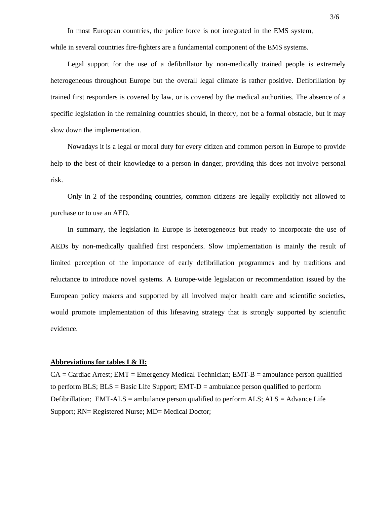In most European countries, the police force is not integrated in the EMS system,

while in several countries fire-fighters are a fundamental component of the EMS systems.

Legal support for the use of a defibrillator by non-medically trained people is extremely heterogeneous throughout Europe but the overall legal climate is rather positive. Defibrillation by trained first responders is covered by law, or is covered by the medical authorities. The absence of a specific legislation in the remaining countries should, in theory, not be a formal obstacle, but it may slow down the implementation.

Nowadays it is a legal or moral duty for every citizen and common person in Europe to provide help to the best of their knowledge to a person in danger, providing this does not involve personal risk.

Only in 2 of the responding countries, common citizens are legally explicitly not allowed to purchase or to use an AED.

In summary, the legislation in Europe is heterogeneous but ready to incorporate the use of AEDs by non-medically qualified first responders. Slow implementation is mainly the result of limited perception of the importance of early defibrillation programmes and by traditions and reluctance to introduce novel systems. A Europe-wide legislation or recommendation issued by the European policy makers and supported by all involved major health care and scientific societies, would promote implementation of this lifesaving strategy that is strongly supported by scientific evidence.

## **Abbreviations for tables I & II:**

 $CA = Cardiac$  Arrest;  $EMT = Emergency$  Medical Technician;  $EMT-B =$  ambulance person qualified to perform BLS;  $BLS = Basic Life Support; EMT-D = amplitude person qualified to perform$ Defibrillation; EMT-ALS = ambulance person qualified to perform ALS;  $ALS = Advance$  Life Support; RN= Registered Nurse; MD= Medical Doctor;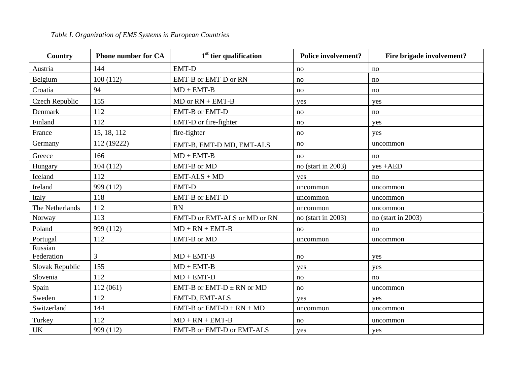| Country               | <b>Phone number for CA</b> | $1st$ tier qualification         | <b>Police involvement?</b> | Fire brigade involvement? |
|-----------------------|----------------------------|----------------------------------|----------------------------|---------------------------|
| Austria               | 144                        | <b>EMT-D</b>                     | no                         | no                        |
| Belgium               | 100(112)                   | EMT-B or EMT-D or RN             | no                         | no                        |
| Croatia               | 94                         | $MD + EMT-B$                     | no                         | no                        |
| Czech Republic        | 155                        | $MD$ or $RN + EMT-B$             | yes                        | yes                       |
| Denmark               | 112                        | <b>EMT-B</b> or <b>EMT-D</b>     | no                         | no                        |
| Finland               | 112                        | EMT-D or fire-fighter            | no                         | yes                       |
| France                | 15, 18, 112                | fire-fighter                     | no                         | yes                       |
| Germany               | 112 (19222)                | EMT-B, EMT-D MD, EMT-ALS         | no                         | uncommon                  |
| Greece                | 166                        | $MD + EMT-B$                     | no                         | no                        |
| Hungary               | 104(112)                   | EMT-B or MD                      | no (start in 2003)         | $yes + AED$               |
| Iceland               | 112                        | $EMT-ALS + MD$                   | yes                        | no                        |
| Ireland               | 999 (112)                  | <b>EMT-D</b>                     | uncommon                   | uncommon                  |
| Italy                 | 118                        | EMT-B or EMT-D                   | uncommon                   | uncommon                  |
| The Netherlands       | 112                        | <b>RN</b>                        | uncommon                   | uncommon                  |
| Norway                | 113                        | EMT-D or EMT-ALS or MD or RN     | no (start in $2003$ )      | no (start in $2003$ )     |
| Poland                | 999 (112)                  | $MD + RN + EMT-B$                | no                         | no                        |
| Portugal              | 112                        | EMT-B or MD                      | uncommon                   | uncommon                  |
| Russian<br>Federation | 3                          | $MD + EMT-B$                     | no                         | yes                       |
| Slovak Republic       | 155                        | $MD + EMT-B$                     | yes                        | yes                       |
| Slovenia              | 112                        | $MD + EMT-D$                     | no                         | no                        |
| Spain                 | 112(061)                   | EMT-B or EMT-D $\pm$ RN or MD    | no                         | uncommon                  |
| Sweden                | 112                        | EMT-D, EMT-ALS                   | yes                        | yes                       |
| Switzerland           | 144                        | EMT-B or EMT-D $\pm$ RN $\pm$ MD | uncommon                   | uncommon                  |
| Turkey                | 112                        | $MD + RN + EMT-B$                | no                         | uncommon                  |
| <b>UK</b>             | 999 (112)                  | EMT-B or EMT-D or EMT-ALS        | yes                        | yes                       |